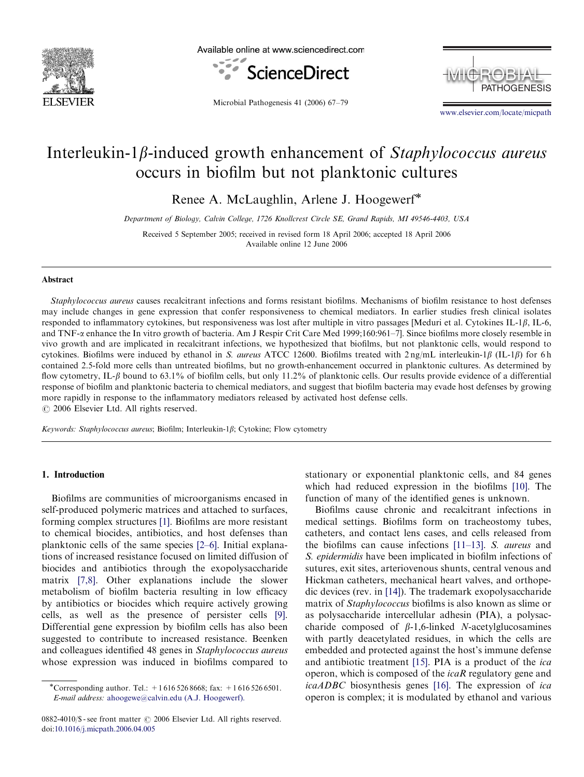

Available online at www.sciencedirect.com



**PATHOGENESIS MICROBIAL** 

Microbial Pathogenesis 41 (2006) 67–79

<www.elsevier.com/locate/micpath>

# Interleukin-1 $\beta$ -induced growth enhancement of Staphylococcus aureus occurs in biofilm but not planktonic cultures

Renee A. McLaughlin, Arlene J. Hoogewerf

Department of Biology, Calvin College, 1726 Knollcrest Circle SE, Grand Rapids, MI 49546-4403, USA

Received 5 September 2005; received in revised form 18 April 2006; accepted 18 April 2006 Available online 12 June 2006

#### Abstract

Staphylococcus aureus causes recalcitrant infections and forms resistant biofilms. Mechanisms of biofilm resistance to host defenses may include changes in gene expression that confer responsiveness to chemical mediators. In earlier studies fresh clinical isolates responded to inflammatory cytokines, but responsiveness was lost after multiple in vitro passages [Meduri et al. Cytokines IL-1 $\beta$ , IL-6, and TNF- $\alpha$  enhance the In vitro growth of bacteria. Am J Respir Crit Care Med 1999;160:961–7]. Since biofilms more closely resemble in vivo growth and are implicated in recalcitrant infections, we hypothesized that biofilms, but not planktonic cells, would respond to cytokines. Biofilms were induced by ethanol in S. *aureus* ATCC 12600. Biofilms treated with  $2 \text{ ng/mL}$  interleukin-1 $\beta$  (IL-1 $\beta$ ) for 6 h contained 2.5-fold more cells than untreated biofilms, but no growth-enhancement occurred in planktonic cultures. As determined by flow cytometry, IL- $\beta$  bound to 63.1% of biofilm cells, but only 11.2% of planktonic cells. Our results provide evidence of a differential response of biofilm and planktonic bacteria to chemical mediators, and suggest that biofilm bacteria may evade host defenses by growing more rapidly in response to the inflammatory mediators released by activated host defense cells.  $C$  2006 Elsevier Ltd. All rights reserved.

Keywords: Staphylococcus aureus; Biofilm; Interleukin-1 $\beta$ ; Cytokine; Flow cytometry

#### 1. Introduction

Biofilms are communities of microorganisms encased in self-produced polymeric matrices and attached to surfaces, forming complex structures [\[1\]](#page-11-0). Biofilms are more resistant to chemical biocides, antibiotics, and host defenses than planktonic cells of the same species [\[2–6\]](#page-11-0). Initial explanations of increased resistance focused on limited diffusion of biocides and antibiotics through the exopolysaccharide matrix [\[7,8\]](#page-11-0). Other explanations include the slower metabolism of biofilm bacteria resulting in low efficacy by antibiotics or biocides which require actively growing cells, as well as the presence of persister cells [\[9\].](#page-11-0) Differential gene expression by biofilm cells has also been suggested to contribute to increased resistance. Beenken and colleagues identified 48 genes in Staphylococcus aureus whose expression was induced in biofilms compared to

stationary or exponential planktonic cells, and 84 genes which had reduced expression in the biofilms [\[10\]](#page-11-0). The function of many of the identified genes is unknown.

Biofilms cause chronic and recalcitrant infections in medical settings. Biofilms form on tracheostomy tubes, catheters, and contact lens cases, and cells released from the biofilms can cause infections [\[11–13\]](#page-11-0). S. aureus and S. epidermidis have been implicated in biofilm infections of sutures, exit sites, arteriovenous shunts, central venous and Hickman catheters, mechanical heart valves, and orthopedic devices (rev. in [\[14\]\)](#page-11-0). The trademark exopolysaccharide matrix of Staphylococcus biofilms is also known as slime or as polysaccharide intercellular adhesin (PIA), a polysaccharide composed of  $\beta$ -1,6-linked *N*-acetylglucosamines with partly deacetylated residues, in which the cells are embedded and protected against the host's immune defense and antibiotic treatment [\[15\]](#page-11-0). PIA is a product of the ica operon, which is composed of the  $icaR$  regulatory gene and icaADBC biosynthesis genes [\[16\].](#page-11-0) The expression of ica operon is complex; it is modulated by ethanol and various

<sup>\*</sup>Corresponding author. Tel.:  $+16165268668$ ; fax:  $+16165266501$ . E-mail address: [ahoogewe@calvin.edu \(A.J. Hoogewerf\).](mailto:ahoogewe@calvin.edu)

<sup>0882-4010/\$ -</sup> see front matter  $\odot$  2006 Elsevier Ltd. All rights reserved. doi:[10.1016/j.micpath.2006.04.005](dx.doi.org/10.1016/j.micpath.2006.04.005)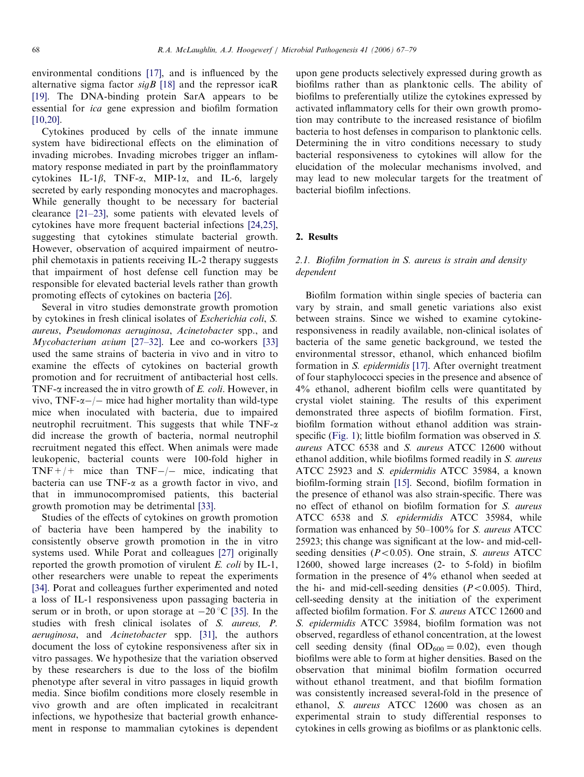environmental conditions [\[17\],](#page-11-0) and is influenced by the alternative sigma factor  $sigB$  [\[18\]](#page-11-0) and the repressor icaR [\[19\]](#page-11-0). The DNA-binding protein SarA appears to be essential for ica gene expression and biofilm formation [\[10,20\].](#page-11-0)

Cytokines produced by cells of the innate immune system have bidirectional effects on the elimination of invading microbes. Invading microbes trigger an inflammatory response mediated in part by the proinflammatory cytokines IL-1 $\beta$ , TNF- $\alpha$ , MIP-1 $\alpha$ , and IL-6, largely secreted by early responding monocytes and macrophages. While generally thought to be necessary for bacterial clearance [\[21–23\],](#page-11-0) some patients with elevated levels of cytokines have more frequent bacterial infections [\[24,25\]](#page-11-0), suggesting that cytokines stimulate bacterial growth. However, observation of acquired impairment of neutrophil chemotaxis in patients receiving IL-2 therapy suggests that impairment of host defense cell function may be responsible for elevated bacterial levels rather than growth promoting effects of cytokines on bacteria [\[26\]](#page-11-0).

Several in vitro studies demonstrate growth promotion by cytokines in fresh clinical isolates of Escherichia coli, S. aureus, Pseudomonas aeruginosa, Acinetobacter spp., and Mycobacterium avium [\[27–32\].](#page-11-0) Lee and co-workers [\[33\]](#page-11-0) used the same strains of bacteria in vivo and in vitro to examine the effects of cytokines on bacterial growth promotion and for recruitment of antibacterial host cells. TNF- $\alpha$  increased the in vitro growth of E. coli. However, in vivo, TNF- $\alpha$ -/- mice had higher mortality than wild-type mice when inoculated with bacteria, due to impaired neutrophil recruitment. This suggests that while  $TNF-\alpha$ did increase the growth of bacteria, normal neutrophil recruitment negated this effect. When animals were made leukopenic, bacterial counts were 100-fold higher in  $TNF+/+$  mice than  $TNF-/-$  mice, indicating that bacteria can use  $TNF-\alpha$  as a growth factor in vivo, and that in immunocompromised patients, this bacterial growth promotion may be detrimental [\[33\].](#page-11-0)

Studies of the effects of cytokines on growth promotion of bacteria have been hampered by the inability to consistently observe growth promotion in the in vitro systems used. While Porat and colleagues [\[27\]](#page-11-0) originally reported the growth promotion of virulent E. coli by IL-1, other researchers were unable to repeat the experiments [\[34\]](#page-11-0). Porat and colleagues further experimented and noted a loss of IL-1 responsiveness upon passaging bacteria in serum or in broth, or upon storage at  $-20$  °C [\[35\]](#page-11-0). In the studies with fresh clinical isolates of S. aureus, P. aeruginosa, and Acinetobacter spp. [\[31\]](#page-11-0), the authors document the loss of cytokine responsiveness after six in vitro passages. We hypothesize that the variation observed by these researchers is due to the loss of the biofilm phenotype after several in vitro passages in liquid growth media. Since biofilm conditions more closely resemble in vivo growth and are often implicated in recalcitrant infections, we hypothesize that bacterial growth enhancement in response to mammalian cytokines is dependent upon gene products selectively expressed during growth as biofilms rather than as planktonic cells. The ability of biofilms to preferentially utilize the cytokines expressed by activated inflammatory cells for their own growth promotion may contribute to the increased resistance of biofilm bacteria to host defenses in comparison to planktonic cells. Determining the in vitro conditions necessary to study bacterial responsiveness to cytokines will allow for the elucidation of the molecular mechanisms involved, and may lead to new molecular targets for the treatment of bacterial biofilm infections.

## 2. Results

## 2.1. Biofilm formation in S. aureus is strain and density dependent

Biofilm formation within single species of bacteria can vary by strain, and small genetic variations also exist between strains. Since we wished to examine cytokineresponsiveness in readily available, non-clinical isolates of bacteria of the same genetic background, we tested the environmental stressor, ethanol, which enhanced biofilm formation in S. epidermidis [\[17\]](#page-11-0). After overnight treatment of four staphylococci species in the presence and absence of 4% ethanol, adherent biofilm cells were quantitated by crystal violet staining. The results of this experiment demonstrated three aspects of biofilm formation. First, biofilm formation without ethanol addition was strain-specific ([Fig. 1](#page-2-0)); little biofilm formation was observed in S. aureus ATCC 6538 and S. aureus ATCC 12600 without ethanol addition, while biofilms formed readily in S. aureus ATCC 25923 and S. epidermidis ATCC 35984, a known biofilm-forming strain [\[15\].](#page-11-0) Second, biofilm formation in the presence of ethanol was also strain-specific. There was no effect of ethanol on biofilm formation for S. aureus ATCC 6538 and S. epidermidis ATCC 35984, while formation was enhanced by 50–100% for S. aureus ATCC 25923; this change was significant at the low- and mid-cellseeding densities  $(P<0.05)$ . One strain, S. *aureus* ATCC 12600, showed large increases (2- to 5-fold) in biofilm formation in the presence of 4% ethanol when seeded at the hi- and mid-cell-seeding densities  $(P<0.005)$ . Third, cell-seeding density at the initiation of the experiment affected biofilm formation. For S. aureus ATCC 12600 and S. epidermidis ATCC 35984, biofilm formation was not observed, regardless of ethanol concentration, at the lowest cell seeding density (final  $OD_{600} = 0.02$ ), even though biofilms were able to form at higher densities. Based on the observation that minimal biofilm formation occurred without ethanol treatment, and that biofilm formation was consistently increased several-fold in the presence of ethanol, S. aureus ATCC 12600 was chosen as an experimental strain to study differential responses to cytokines in cells growing as biofilms or as planktonic cells.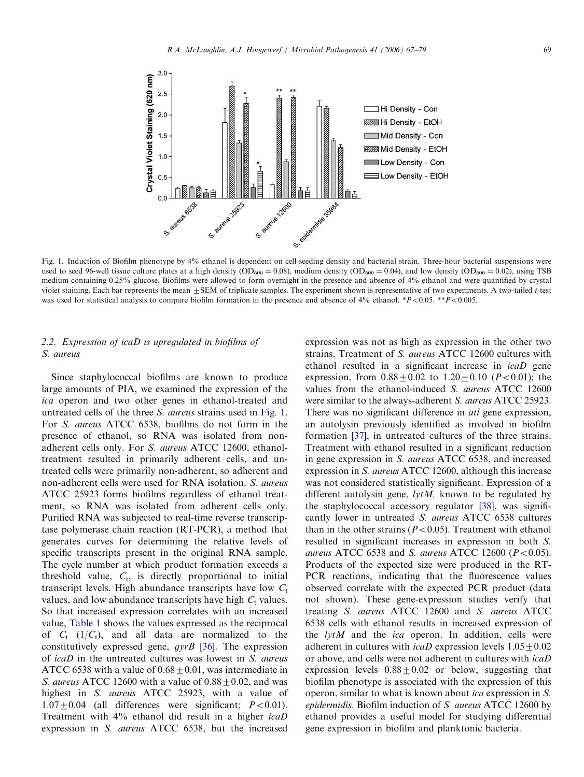<span id="page-2-0"></span>

Fig. 1. Induction of Biofilm phenotype by 4% ethanol is dependent on cell seeding density and bacterial strain. Three-hour bacterial suspensions were used to seed 96-well tissue culture plates at a high density (OD<sub>600</sub> = 0.08), medium density (OD<sub>600</sub> = 0.04), and low density (OD<sub>600</sub> = 0.02), using TSB medium containing 0.25% glucose. Biofilms were allowed to form overnight in the presence and absence of 4% ethanol and were quantified by crystal violet staining. Each bar represents the mean  $\pm$  SEM of triplicate samples. The experiment shown is representative of two experiments. A two-tailed *t*-test was used for statistical analysis to compare biofilm formation in the presence and absence of  $4\%$  ethanol. \*P<0.05. \*\*P<0.005.

# 2.2. Expression of icaD is upregulated in biofilms of S. aureus

 $3.0$ 

Since staphylococcal biofilms are known to produce large amounts of PIA, we examined the expression of the ica operon and two other genes in ethanol-treated and untreated cells of the three S. aureus strains used in Fig. 1. For S. aureus ATCC 6538, biofilms do not form in the presence of ethanol, so RNA was isolated from nonadherent cells only. For S. aureus ATCC 12600, ethanoltreatment resulted in primarily adherent cells, and untreated cells were primarily non-adherent, so adherent and non-adherent cells were used for RNA isolation. S. aureus ATCC 25923 forms biofilms regardless of ethanol treatment, so RNA was isolated from adherent cells only. Purified RNA was subjected to real-time reverse transcriptase polymerase chain reaction (RT-PCR), a method that generates curves for determining the relative levels of specific transcripts present in the original RNA sample. The cycle number at which product formation exceeds a threshold value,  $C_t$ , is directly proportional to initial transcript levels. High abundance transcripts have low  $C_t$ values, and low abundance transcripts have high  $C_t$  values. So that increased expression correlates with an increased value, [Table 1](#page-3-0) shows the values expressed as the reciprocal of  $C_t$  (1/ $C_t$ ), and all data are normalized to the constitutively expressed gene,  $gyrB$  [\[36\]](#page-11-0). The expression of icaD in the untreated cultures was lowest in S. aureus ATCC 6538 with a value of  $0.68 \pm 0.01$ , was intermediate in S. aureus ATCC 12600 with a value of  $0.88 \pm 0.02$ , and was highest in S. aureus ATCC 25923, with a value of  $1.07 \pm 0.04$  (all differences were significant;  $P < 0.01$ ). Treatment with 4% ethanol did result in a higher icaD expression in S. aureus ATCC 6538, but the increased expression was not as high as expression in the other two strains. Treatment of S. aureus ATCC 12600 cultures with ethanol resulted in a significant increase in icaD gene expression, from  $0.88+0.02$  to  $1.20+0.10$  (P < 0.01); the values from the ethanol-induced S. aureus ATCC 12600 were similar to the always-adherent S. aureus ATCC 25923. There was no significant difference in *atl* gene expression, an autolysin previously identified as involved in biofilm formation [\[37\]](#page-11-0), in untreated cultures of the three strains. Treatment with ethanol resulted in a significant reduction in gene expression in S. aureus ATCC 6538, and increased expression in S. aureus ATCC 12600, although this increase was not considered statistically significant. Expression of a different autolysin gene,  $lytM$ , known to be regulated by the staphylococcal accessory regulator [\[38\]](#page-11-0), was significantly lower in untreated S. aureus ATCC 6538 cultures than in the other strains ( $P < 0.05$ ). Treatment with ethanol resulted in significant increases in expression in both S. aureus ATCC 6538 and S. aureus ATCC 12600 ( $P < 0.05$ ). Products of the expected size were produced in the RT-PCR reactions, indicating that the fluorescence values observed correlate with the expected PCR product (data not shown). These gene-expression studies verify that treating S. aureus ATCC 12600 and S. aureus ATCC 6538 cells with ethanol results in increased expression of the  $lytM$  and the *ica* operon. In addition, cells were adherent in cultures with *icaD* expression levels  $1.05\pm0.02$ or above, and cells were not adherent in cultures with icaD expression levels  $0.88 \pm 0.02$  or below, suggesting that biofilm phenotype is associated with the expression of this operon, similar to what is known about ica expression in S. epidermidis. Biofilm induction of S. aureus ATCC 12600 by ethanol provides a useful model for studying differential gene expression in biofilm and planktonic bacteria.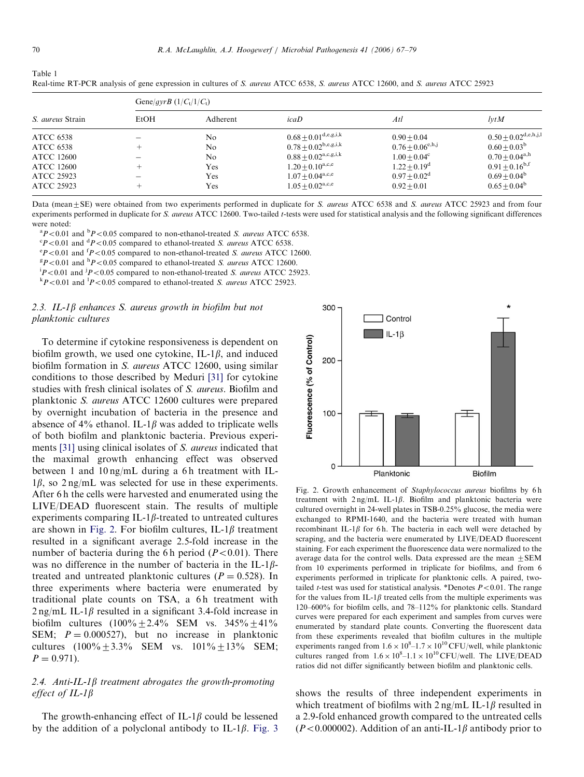| Real-time RT-PCR analysis of gene expression in cultures of S. <i>aureus</i> ATCC 6538, S. <i>aureus</i> ATCC 12600, and S. <i>aureus</i> ATCC 25923 |                |                                    |                                    |                                    |
|------------------------------------------------------------------------------------------------------------------------------------------------------|----------------|------------------------------------|------------------------------------|------------------------------------|
| Gene/gyrB $(1/C_t/1/C_t)$                                                                                                                            |                |                                    |                                    |                                    |
| EtOH                                                                                                                                                 | Adherent       | icab                               | Atl                                | lvtM                               |
|                                                                                                                                                      | N <sub>0</sub> | $0.68 \pm 0.01^{\rm d,e,g,i,k}$    | $0.90 + 0.04$                      | $0.50 \pm 0.02^{\text{d,e,h,j,l}}$ |
|                                                                                                                                                      | N <sub>0</sub> |                                    | $0.76 \pm 0.06^{\text{e},h,j}$     | $0.60 + 0.03^b$                    |
|                                                                                                                                                      | N <sub>0</sub> | $0.88 \pm 0.02^{\text{a,c,g,i,k}}$ | $1.00 + 0.04^c$                    | $0.70 + 0.04^{\text{a},\text{h}}$  |
|                                                                                                                                                      | <b>Yes</b>     | $1.20 \pm 0.10^{a,c,e}$            | $1.22 + 0.19^d$                    | $0.91 + 0.16^{b,f}$                |
|                                                                                                                                                      | Yes            | $1.07 + 0.04^{\text{a,c,e}}$       | $0.97 + 0.02^d$                    | $0.69 + 0.04^b$                    |
|                                                                                                                                                      |                |                                    | $0.78 \pm 0.02^{\text{b,e,g,i,k}}$ |                                    |

Real-time RT-PCR analysis of gene expression in cultures of S. aureus ATCC 6538, S. aureus ATCC 12600, and S. aureus ATCC 25923

Data (mean ± SE) were obtained from two experiments performed in duplicate for S. aureus ATCC 6538 and S. aureus ATCC 25923 and from four experiments performed in duplicate for S. aureus ATCC 12600. Two-tailed t-tests were used for statistical analysis and the following significant differences were noted:

ATCC 25923 + Yes  $1.05 \pm 0.02^{a,c,e}$   $0.92 \pm 0.01$   $0.65 \pm 0.04^{b}$ 

 ${}^{8}P<0.01$  and  ${}^{6}P<0.05$  compared to non-ethanol-treated *S. aureus* ATCC 6538.

 ${}^{\circ}P$  < 0.01 and  ${}^{\circ}P$  < 0.05 compared to ethanol-treated *S. aureus* ATCC 6538.

 ${}^{\circ}P$  < 0.01 and  ${}^{\circ}P$  < 0.05 compared to non-ethanol-treated *S. aureus* ATCC 12600.<br> ${}^{\circ}P$  < 0.01 and  ${}^{\circ}P$  < 0.05 compared to ethanol-treated *S. aureus* ATCC 12600.

 ${}^{8}P<0.01$  and  ${}^{h}P<0.05$  compared to ethanol-treated *S. aureus* ATCC 12600.

 $\frac{p}{P}$ <0.01 and  $\frac{p}{P}$ <0.05 compared to non-ethanol-treated *S. aureus* ATCC 25923.

 $P < 0.01$  and  $\frac{1}{P} < 0.05$  compared to ethanol-treated *S. aureus* ATCC 25923.

#### 2.3. IL-1 $\beta$  enhances S. aureus growth in biofilm but not planktonic cultures

To determine if cytokine responsiveness is dependent on biofilm growth, we used one cytokine, IL-1 $\beta$ , and induced biofilm formation in S. aureus ATCC 12600, using similar conditions to those described by Meduri [\[31\]](#page-11-0) for cytokine studies with fresh clinical isolates of S. aureus. Biofilm and planktonic S. aureus ATCC 12600 cultures were prepared by overnight incubation of bacteria in the presence and absence of 4% ethanol. IL-1 $\beta$  was added to triplicate wells of both biofilm and planktonic bacteria. Previous experi-ments [\[31\]](#page-11-0) using clinical isolates of S. *aureus* indicated that the maximal growth enhancing effect was observed between 1 and  $10 \text{ ng/mL}$  during a 6h treatment with IL- $1\beta$ , so  $2 \text{ ng/mL}$  was selected for use in these experiments. After 6 h the cells were harvested and enumerated using the LIVE/DEAD fluorescent stain. The results of multiple experiments comparing IL-1 $\beta$ -treated to untreated cultures are shown in Fig. 2. For biofilm cultures, IL-1 $\beta$  treatment resulted in a significant average 2.5-fold increase in the number of bacteria during the 6 h period  $(P<0.01)$ . There was no difference in the number of bacteria in the IL-1 $\beta$ treated and untreated planktonic cultures ( $P = 0.528$ ). In three experiments where bacteria were enumerated by traditional plate counts on TSA, a 6h treatment with  $2$  ng/mL IL-1 $\beta$  resulted in a significant 3.4-fold increase in biofilm cultures  $(100\% \pm 2.4\% \text{ SEM vs. } 345\% \pm 41\%$ SEM;  $P = 0.000527$ , but no increase in planktonic cultures  $(100\% \pm 3.3\% \text{ SEM} \text{ vs. } 101\% \pm 13\% \text{ SEM};$  $P = 0.971$ .

# 2.4. Anti-IL-1 $\beta$  treatment abrogates the growth-promoting effect of  $IL-1\beta$

The growth-enhancing effect of IL-1 $\beta$  could be lessened by the addition of a polyclonal antibody to IL-1 $\beta$ . [Fig. 3](#page-4-0)



Fig. 2. Growth enhancement of Staphylococcus aureus biofilms by 6 h treatment with  $2 \text{ ng/mL}$  IL-1 $\beta$ . Biofilm and planktonic bacteria were cultured overnight in 24-well plates in TSB-0.25% glucose, the media were exchanged to RPMI-1640, and the bacteria were treated with human recombinant IL-1 $\beta$  for 6 h. The bacteria in each well were detached by scraping, and the bacteria were enumerated by LIVE/DEAD fluorescent staining. For each experiment the fluorescence data were normalized to the average data for the control wells. Data expressed are the mean  $\pm$  SEM from 10 experiments performed in triplicate for biofilms, and from 6 experiments performed in triplicate for planktonic cells. A paired, twotailed *t*-test was used for statistical analysis. \*Denotes  $P < 0.01$ . The range for the values from IL-1 $\beta$  treated cells from the multiple experiments was 120–600% for biofilm cells, and 78–112% for planktonic cells. Standard curves were prepared for each experiment and samples from curves were enumerated by standard plate counts. Converting the fluorescent data from these experiments revealed that biofilm cultures in the multiple experiments ranged from  $1.6 \times 10^8$ – $1.7 \times 10^{10}$  CFU/well, while planktonic cultures ranged from  $1.6 \times 10^8$ -1.1  $\times 10^{10}$  CFU/well. The LIVE/DEAD ratios did not differ significantly between biofilm and planktonic cells.

shows the results of three independent experiments in which treatment of biofilms with  $2 \frac{ng}{m}$  IL-1 $\beta$  resulted in a 2.9-fold enhanced growth compared to the untreated cells  $(P<0.000002)$ . Addition of an anti-IL-1 $\beta$  antibody prior to

<span id="page-3-0"></span>Table 1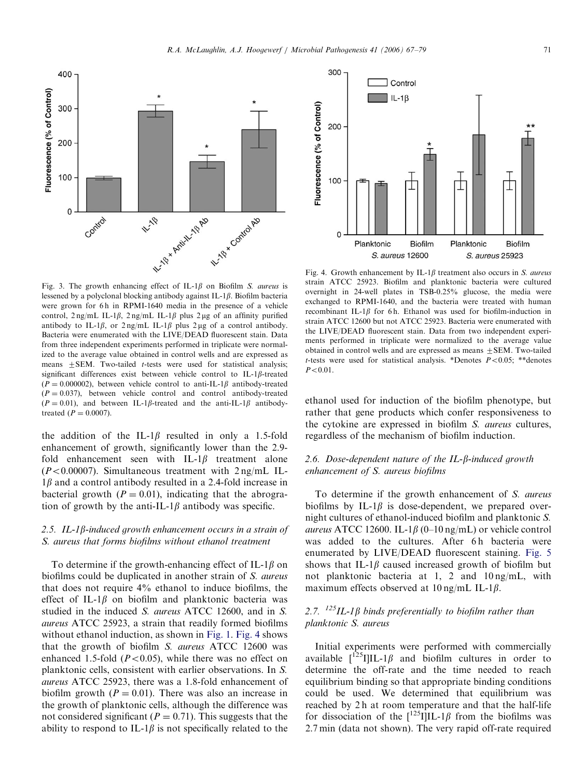Fig. 3. The growth enhancing effect of IL-1 $\beta$  on Biofilm S. aureus is lessened by a polyclonal blocking antibody against IL-1 $\beta$ . Biofilm bacteria were grown for 6h in RPMI-1640 media in the presence of a vehicle control,  $2 \text{ ng/mL IL-1}\beta$ ,  $2 \text{ ng/mL IL-1}\beta$  plus  $2 \text{ µg}$  of an affinity purified antibody to IL-1 $\beta$ , or 2 ng/mL IL-1 $\beta$  plus 2 µg of a control antibody. Bacteria were enumerated with the LIVE/DEAD fluorescent stain. Data from three independent experiments performed in triplicate were normalized to the average value obtained in control wells and are expressed as means  $\pm$  SEM. Two-tailed *t*-tests were used for statistical analysis; significant differences exist between vehicle control to IL-1 $\beta$ -treated  $(P = 0.000002)$ , between vehicle control to anti-IL-1 $\beta$  antibody-treated  $(P = 0.037)$ , between vehicle control and control antibody-treated  $(P = 0.01)$ , and between IL-1 $\beta$ -treated and the anti-IL-1 $\beta$  antibodytreated  $(P = 0.0007)$ .

<span id="page-4-0"></span>400

300

200

100

 $\mathbf 0$ 

Fluorescence (% of Control)

the addition of the IL-1 $\beta$  resulted in only a 1.5-fold enhancement of growth, significantly lower than the 2.9 fold enhancement seen with IL-1 $\beta$  treatment alone  $(P<0.00007)$ . Simultaneous treatment with  $2 \text{ ng/mL}$  IL- $1\beta$  and a control antibody resulted in a 2.4-fold increase in bacterial growth  $(P = 0.01)$ , indicating that the abrogration of growth by the anti-IL-1 $\beta$  antibody was specific.

# 2.5. IL-1 $\beta$ -induced growth enhancement occurs in a strain of S. aureus that forms biofilms without ethanol treatment

To determine if the growth-enhancing effect of IL-1 $\beta$  on biofilms could be duplicated in another strain of S. *aureus* that does not require 4% ethanol to induce biofilms, the effect of IL-1 $\beta$  on biofilm and planktonic bacteria was studied in the induced S. aureus ATCC 12600, and in S. aureus ATCC 25923, a strain that readily formed biofilms without ethanol induction, as shown in [Fig. 1](#page-2-0). Fig. 4 shows that the growth of biofilm S. aureus ATCC 12600 was enhanced 1.5-fold ( $P<0.05$ ), while there was no effect on planktonic cells, consistent with earlier observations. In S. aureus ATCC 25923, there was a 1.8-fold enhancement of biofilm growth ( $P = 0.01$ ). There was also an increase in the growth of planktonic cells, although the difference was not considered significant ( $P = 0.71$ ). This suggests that the ability to respond to IL-1 $\beta$  is not specifically related to the Fig. 4. Growth enhancement by IL-1 $\beta$  treatment also occurs in S. *aureus* strain ATCC 25923. Biofilm and planktonic bacteria were cultured overnight in 24-well plates in TSB-0.25% glucose, the media were exchanged to RPMI-1640, and the bacteria were treated with human recombinant IL-1 $\beta$  for 6h. Ethanol was used for biofilm-induction in strain ATCC 12600 but not ATCC 25923. Bacteria were enumerated with the LIVE/DEAD fluorescent stain. Data from two independent experiments performed in triplicate were normalized to the average value obtained in control wells and are expressed as means  $+SEM$ . Two-tailed t-tests were used for statistical analysis. \*Denotes  $P < 0.05$ ; \*\*denotes  $P < 0.01$ .

Biofilm

S. aureus 12600

Planktonic

**Biofilm** 

S. aureus 25923

Control

 $IL - 1B$ 

ethanol used for induction of the biofilm phenotype, but rather that gene products which confer responsiveness to the cytokine are expressed in biofilm S. aureus cultures, regardless of the mechanism of biofilm induction.

# 2.6. Dose-dependent nature of the IL- $\beta$ -induced growth enhancement of S. aureus biofilms

To determine if the growth enhancement of S. aureus biofilms by IL-1 $\beta$  is dose-dependent, we prepared overnight cultures of ethanol-induced biofilm and planktonic S. aureus ATCC 12600. IL-1 $\beta$  (0–10 ng/mL) or vehicle control was added to the cultures. After 6h bacteria were enumerated by LIVE/DEAD fluorescent staining. [Fig. 5](#page-5-0) shows that IL-1 $\beta$  caused increased growth of biofilm but not planktonic bacteria at 1, 2 and 10 ng/mL, with maximum effects observed at 10 ng/mL IL-1 $\beta$ .

# 2.7.  $^{125}$ IL-1 $\beta$  binds preferentially to biofilm rather than planktonic S. aureus

Initial experiments were performed with commercially available  $\lceil^{125}I\rceil IL-1\beta$  and biofilm cultures in order to determine the off-rate and the time needed to reach equilibrium binding so that appropriate binding conditions could be used. We determined that equilibrium was reached by 2 h at room temperature and that the half-life for dissociation of the  $\frac{125}{I}$ ]IL-1 $\beta$  from the biofilms was 2.7 min (data not shown). The very rapid off-rate required

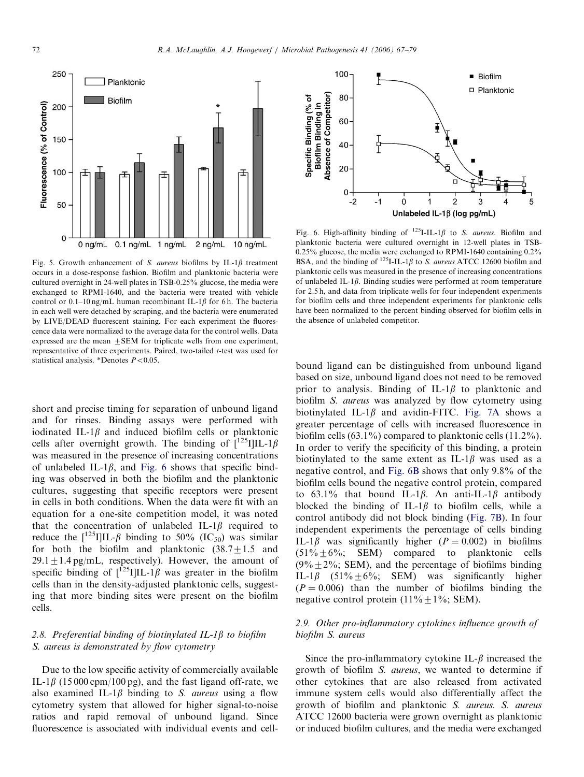<span id="page-5-0"></span>

Fig. 5. Growth enhancement of S. aureus biofilms by IL-1 $\beta$  treatment occurs in a dose-response fashion. Biofilm and planktonic bacteria were cultured overnight in 24-well plates in TSB-0.25% glucose, the media were exchanged to RPMI-1640, and the bacteria were treated with vehicle control or 0.1–10 ng/mL human recombinant IL-1 $\beta$  for 6 h. The bacteria in each well were detached by scraping, and the bacteria were enumerated by LIVE/DEAD fluorescent staining. For each experiment the fluorescence data were normalized to the average data for the control wells. Data expressed are the mean  $\pm$  SEM for triplicate wells from one experiment, representative of three experiments. Paired, two-tailed t-test was used for statistical analysis. \*Denotes  $P < 0.05$ .

short and precise timing for separation of unbound ligand and for rinses. Binding assays were performed with iodinated IL-1 $\beta$  and induced biofilm cells or planktonic cells after overnight growth. The binding of  $\int_0^{125} III L-1\beta$ was measured in the presence of increasing concentrations of unlabeled IL-1 $\beta$ , and Fig. 6 shows that specific binding was observed in both the biofilm and the planktonic cultures, suggesting that specific receptors were present in cells in both conditions. When the data were fit with an equation for a one-site competition model, it was noted that the concentration of unlabeled IL-1 $\beta$  required to reduce the  $\frac{125}{1}$ IIL- $\beta$  binding to 50% (IC<sub>50</sub>) was similar for both the biofilm and planktonic  $(38.7 \pm 1.5 \text{ and}$  $29.1 \pm 1.4$  pg/mL, respectively). However, the amount of specific binding of  $\int_1^{125} I \cdot 16$  was greater in the biofilm cells than in the density-adjusted planktonic cells, suggesting that more binding sites were present on the biofilm cells.

# 2.8. Preferential binding of biotinylated IL-1 $\beta$  to biofilm S. aureus is demonstrated by flow cytometry

Due to the low specific activity of commercially available IL-1 $\beta$  (15000 cpm/100 pg), and the fast ligand off-rate, we also examined IL-1 $\beta$  binding to S. *aureus* using a flow cytometry system that allowed for higher signal-to-noise ratios and rapid removal of unbound ligand. Since fluorescence is associated with individual events and cell-



Fig. 6. High-affinity binding of  $^{125}I$ -IL-1 $\beta$  to *S. aureus.* Biofilm and planktonic bacteria were cultured overnight in 12-well plates in TSB- $0.25\%$  glucose, the media were exchanged to RPMI-1640 containing  $0.2\%$ BSA, and the binding of  $^{125}$ I-IL-1 $\beta$  to S. aureus ATCC 12600 biofilm and planktonic cells was measured in the presence of increasing concentrations of unlabeled IL-1 $\beta$ . Binding studies were performed at room temperature for 2.5 h, and data from triplicate wells for four independent experiments for biofilm cells and three independent experiments for planktonic cells have been normalized to the percent binding observed for biofilm cells in the absence of unlabeled competitor.

bound ligand can be distinguished from unbound ligand based on size, unbound ligand does not need to be removed prior to analysis. Binding of IL-1 $\beta$  to planktonic and biofilm S. aureus was analyzed by flow cytometry using biotinylated IL-1 $\beta$  and avidin-FITC. [Fig. 7A](#page-6-0) shows a greater percentage of cells with increased fluorescence in biofilm cells (63.1%) compared to planktonic cells (11.2%). In order to verify the specificity of this binding, a protein biotinylated to the same extent as IL-1 $\beta$  was used as a negative control, and Fig. 6B shows that only 9.8% of the biofilm cells bound the negative control protein, compared to 63.1% that bound IL-1 $\beta$ . An anti-IL-1 $\beta$  antibody blocked the binding of IL-1 $\beta$  to biofilm cells, while a control antibody did not block binding ([Fig. 7B\)](#page-6-0). In four independent experiments the percentage of cells binding IL-1 $\beta$  was significantly higher ( $P = 0.002$ ) in biofilms  $(51\% + 6\%;$  SEM) compared to planktonic cells  $(9\% + 2\%; SEM)$ , and the percentage of biofilms binding IL-1 $\beta$  (51%  $\pm$  6%; SEM) was significantly higher  $(P = 0.006)$  than the number of biofilms binding the negative control protein  $(11\% \pm 1\%;$  SEM).

## 2.9. Other pro-inflammatory cytokines influence growth of biofilm S. aureus

Since the pro-inflammatory cytokine IL- $\beta$  increased the growth of biofilm S. aureus, we wanted to determine if other cytokines that are also released from activated immune system cells would also differentially affect the growth of biofilm and planktonic S. aureus. S. aureus ATCC 12600 bacteria were grown overnight as planktonic or induced biofilm cultures, and the media were exchanged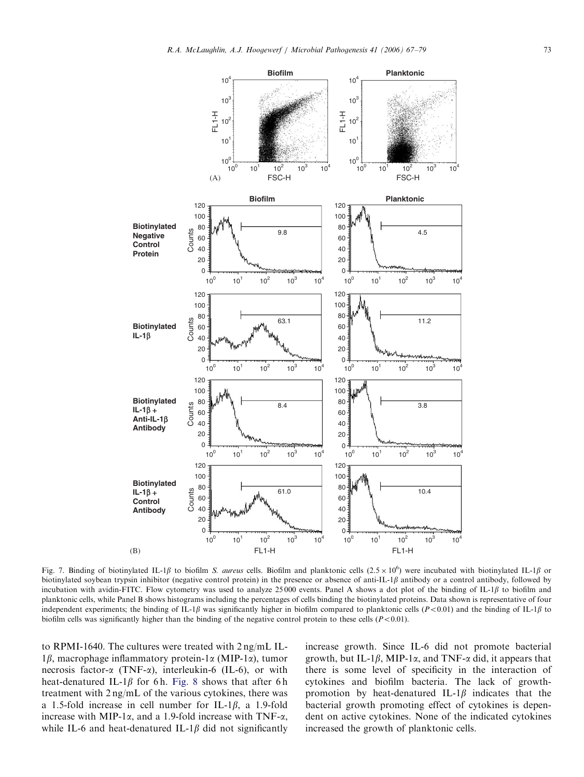<span id="page-6-0"></span>

Fig. 7. Binding of biotinylated IL-1 $\beta$  to biofilm S. aureus cells. Biofilm and planktonic cells (2.5 × 10<sup>6</sup>) were incubated with biotinylated IL-1 $\beta$  or biotinylated soybean trypsin inhibitor (negative control protein) in the presence or absence of anti-IL-1 $\beta$  antibody or a control antibody, followed by incubation with avidin-FITC. Flow cytometry was used to analyze 25000 events. Panel A shows a dot plot of the binding of IL-1 $\beta$  to biofilm and planktonic cells, while Panel B shows histograms including the percentages of cells binding the biotinylated proteins. Data shown is representative of four independent experiments; the binding of IL-1 $\beta$  was significantly higher in biofilm compared to planktonic cells (P<0.01) and the binding of IL-1 $\beta$  to biofilm cells was significantly higher than the binding of the negative control protein to these cells  $(P<0.01)$ .

to RPMI-1640. The cultures were treated with 2 ng/mL IL- $1\beta$ , macrophage inflammatory protein-1 $\alpha$  (MIP-1 $\alpha$ ), tumor necrosis factor- $\alpha$  (TNF- $\alpha$ ), interleukin-6 (IL-6), or with heat-denatured IL-1 $\beta$  for 6h. [Fig. 8](#page-7-0) shows that after 6h treatment with 2 ng/mL of the various cytokines, there was a 1.5-fold increase in cell number for IL-1 $\beta$ , a 1.9-fold increase with MIP-1 $\alpha$ , and a 1.9-fold increase with TNF- $\alpha$ , while IL-6 and heat-denatured IL-1 $\beta$  did not significantly increase growth. Since IL-6 did not promote bacterial growth, but IL-1 $\beta$ , MIP-1 $\alpha$ , and TNF- $\alpha$  did, it appears that there is some level of specificity in the interaction of cytokines and biofilm bacteria. The lack of growthpromotion by heat-denatured IL-1 $\beta$  indicates that the bacterial growth promoting effect of cytokines is dependent on active cytokines. None of the indicated cytokines increased the growth of planktonic cells.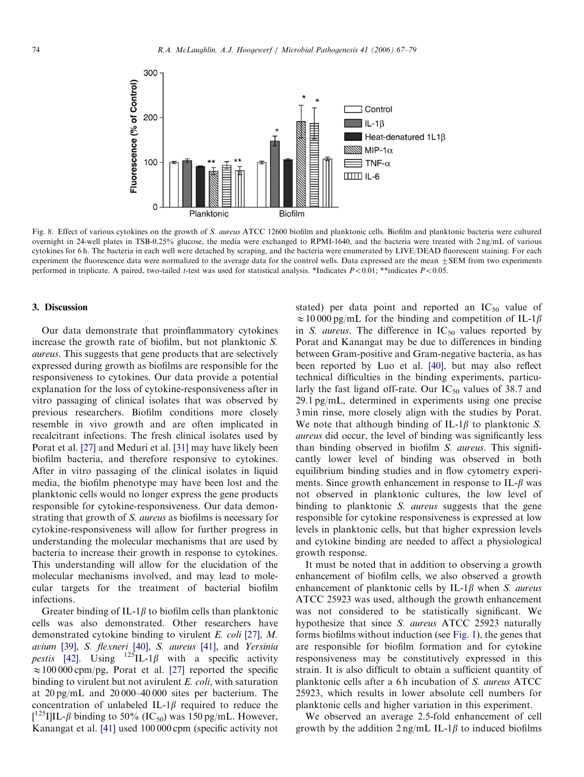<span id="page-7-0"></span>

Fig. 8. Effect of various cytokines on the growth of S. aureus ATCC 12600 biofilm and planktonic cells. Biofilm and planktonic bacteria were cultured overnight in 24-well plates in TSB-0.25% glucose, the media were exchanged to RPMI-1640, and the bacteria were treated with 2 ng/mL of various cytokines for 6 h. The bacteria in each well were detached by scraping, and the bacteria were enumerated by LIVE/DEAD fluorescent staining. For each experiment the fluorescence data were normalized to the average data for the control wells. Data expressed are the mean  $+SEM$  from two experiments performed in triplicate. A paired, two-tailed *t*-test was used for statistical analysis. \*Indicates  $P < 0.01$ ; \*\*indicates  $P < 0.05$ .

#### 3. Discussion

Our data demonstrate that proinflammatory cytokines increase the growth rate of biofilm, but not planktonic S. aureus. This suggests that gene products that are selectively expressed during growth as biofilms are responsible for the responsiveness to cytokines. Our data provide a potential explanation for the loss of cytokine-responsiveness after in vitro passaging of clinical isolates that was observed by previous researchers. Biofilm conditions more closely resemble in vivo growth and are often implicated in recalcitrant infections. The fresh clinical isolates used by Porat et al. [\[27\]](#page-11-0) and Meduri et al. [\[31\]](#page-11-0) may have likely been biofilm bacteria, and therefore responsive to cytokines. After in vitro passaging of the clinical isolates in liquid media, the biofilm phenotype may have been lost and the planktonic cells would no longer express the gene products responsible for cytokine-responsiveness. Our data demonstrating that growth of S. aureus as biofilms is necessary for cytokine-responsiveness will allow for further progress in understanding the molecular mechanisms that are used by bacteria to increase their growth in response to cytokines. This understanding will allow for the elucidation of the molecular mechanisms involved, and may lead to molecular targets for the treatment of bacterial biofilm infections.

Greater binding of IL-1 $\beta$  to biofilm cells than planktonic cells was also demonstrated. Other researchers have demonstrated cytokine binding to virulent E. coli [\[27\]](#page-11-0), M. avium [\[39\],](#page-11-0) S. flexneri [\[40\]](#page-11-0), S. aureus [\[41\]](#page-12-0), and Yersinia pestis [\[42\]](#page-12-0). Using  $125$ IL-1 $\beta$  with a specific activity  $\approx 100\,000$  cpm/pg, Porat et al. [\[27\]](#page-11-0) reported the specific binding to virulent but not avirulent  $E.$  coli, with saturation at 20 pg/mL and 20 000–40 000 sites per bacterium. The concentration of unlabeled IL-1 $\beta$  required to reduce the  $\left[ {}^{125} \text{I} \right]$ IL- $\beta$  binding to 50% (IC<sub>50</sub>) was 150 pg/mL. However, Kanangat et al. [\[41\]](#page-12-0) used 100 000 cpm (specific activity not stated) per data point and reported an  $IC_{50}$  value of  $\approx 10000 \text{ pg/mL}$  for the binding and competition of IL-1 $\beta$ in S. aureus. The difference in  $IC_{50}$  values reported by Porat and Kanangat may be due to differences in binding between Gram-positive and Gram-negative bacteria, as has been reported by Luo et al. [\[40\],](#page-11-0) but may also reflect technical difficulties in the binding experiments, particularly the fast ligand off-rate. Our  $IC_{50}$  values of 38.7 and 29.1 pg/mL, determined in experiments using one precise 3 min rinse, more closely align with the studies by Porat. We note that although binding of IL-1 $\beta$  to planktonic S. aureus did occur, the level of binding was significantly less than binding observed in biofilm S. aureus. This significantly lower level of binding was observed in both equilibrium binding studies and in flow cytometry experiments. Since growth enhancement in response to IL- $\beta$  was not observed in planktonic cultures, the low level of binding to planktonic S. *aureus* suggests that the gene responsible for cytokine responsiveness is expressed at low levels in planktonic cells, but that higher expression levels and cytokine binding are needed to affect a physiological growth response.

It must be noted that in addition to observing a growth enhancement of biofilm cells, we also observed a growth enhancement of planktonic cells by IL-1 $\beta$  when S. aureus ATCC 25923 was used, although the growth enhancement was not considered to be statistically significant. We hypothesize that since S. aureus ATCC 25923 naturally forms biofilms without induction (see [Fig. 1](#page-2-0)), the genes that are responsible for biofilm formation and for cytokine responsiveness may be constitutively expressed in this strain. It is also difficult to obtain a sufficient quantity of planktonic cells after a 6h incubation of S. aureus ATCC 25923, which results in lower absolute cell numbers for planktonic cells and higher variation in this experiment.

We observed an average 2.5-fold enhancement of cell growth by the addition  $2 \text{ ng/mL IL-1}\beta$  to induced biofilms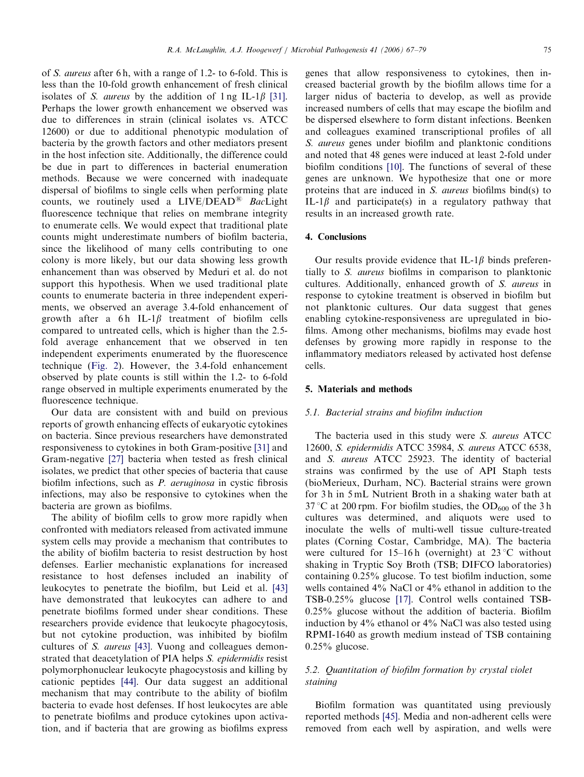of S. aureus after 6 h, with a range of 1.2- to 6-fold. This is less than the 10-fold growth enhancement of fresh clinical isolates of S. *aureus* by the addition of  $\ln \text{SL} - \ln \text{[31]}$ . Perhaps the lower growth enhancement we observed was due to differences in strain (clinical isolates vs. ATCC 12600) or due to additional phenotypic modulation of bacteria by the growth factors and other mediators present in the host infection site. Additionally, the difference could be due in part to differences in bacterial enumeration methods. Because we were concerned with inadequate dispersal of biofilms to single cells when performing plate counts, we routinely used a  $LIVE/DEAD^@$  BacLight fluorescence technique that relies on membrane integrity to enumerate cells. We would expect that traditional plate counts might underestimate numbers of biofilm bacteria, since the likelihood of many cells contributing to one colony is more likely, but our data showing less growth enhancement than was observed by Meduri et al. do not support this hypothesis. When we used traditional plate counts to enumerate bacteria in three independent experiments, we observed an average 3.4-fold enhancement of growth after a 6h IL-1 $\beta$  treatment of biofilm cells compared to untreated cells, which is higher than the 2.5 fold average enhancement that we observed in ten independent experiments enumerated by the fluorescence technique ([Fig. 2\)](#page-3-0). However, the 3.4-fold enhancement observed by plate counts is still within the 1.2- to 6-fold range observed in multiple experiments enumerated by the fluorescence technique.

Our data are consistent with and build on previous reports of growth enhancing effects of eukaryotic cytokines on bacteria. Since previous researchers have demonstrated responsiveness to cytokines in both Gram-positive [\[31\]](#page-11-0) and Gram-negative [\[27\]](#page-11-0) bacteria when tested as fresh clinical isolates, we predict that other species of bacteria that cause biofilm infections, such as P. aeruginosa in cystic fibrosis infections, may also be responsive to cytokines when the bacteria are grown as biofilms.

The ability of biofilm cells to grow more rapidly when confronted with mediators released from activated immune system cells may provide a mechanism that contributes to the ability of biofilm bacteria to resist destruction by host defenses. Earlier mechanistic explanations for increased resistance to host defenses included an inability of leukocytes to penetrate the biofilm, but Leid et al. [\[43\]](#page-12-0) have demonstrated that leukocytes can adhere to and penetrate biofilms formed under shear conditions. These researchers provide evidence that leukocyte phagocytosis, but not cytokine production, was inhibited by biofilm cultures of S. aureus [\[43\]](#page-12-0). Vuong and colleagues demonstrated that deacetylation of PIA helps S. epidermidis resist polymorphonuclear leukocyte phagocystosis and killing by cationic peptides [\[44\]](#page-12-0). Our data suggest an additional mechanism that may contribute to the ability of biofilm bacteria to evade host defenses. If host leukocytes are able to penetrate biofilms and produce cytokines upon activation, and if bacteria that are growing as biofilms express genes that allow responsiveness to cytokines, then increased bacterial growth by the biofilm allows time for a larger nidus of bacteria to develop, as well as provide increased numbers of cells that may escape the biofilm and be dispersed elsewhere to form distant infections. Beenken and colleagues examined transcriptional profiles of all S. aureus genes under biofilm and planktonic conditions and noted that 48 genes were induced at least 2-fold under biofilm conditions [\[10\]](#page-11-0). The functions of several of these genes are unknown. We hypothesize that one or more proteins that are induced in S. aureus biofilms bind(s) to IL-1 $\beta$  and participate(s) in a regulatory pathway that results in an increased growth rate.

## 4. Conclusions

Our results provide evidence that IL-1 $\beta$  binds preferentially to S. aureus biofilms in comparison to planktonic cultures. Additionally, enhanced growth of S. aureus in response to cytokine treatment is observed in biofilm but not planktonic cultures. Our data suggest that genes enabling cytokine-responsiveness are upregulated in biofilms. Among other mechanisms, biofilms may evade host defenses by growing more rapidly in response to the inflammatory mediators released by activated host defense cells.

#### 5. Materials and methods

#### 5.1. Bacterial strains and biofilm induction

The bacteria used in this study were S. aureus ATCC 12600, S. epidermidis ATCC 35984, S. aureus ATCC 6538, and S. aureus ATCC 25923. The identity of bacterial strains was confirmed by the use of API Staph tests (bioMerieux, Durham, NC). Bacterial strains were grown for 3 h in 5 mL Nutrient Broth in a shaking water bath at  $37^{\circ}$ C at 200 rpm. For biofilm studies, the OD<sub>600</sub> of the 3 h cultures was determined, and aliquots were used to inoculate the wells of multi-well tissue culture-treated plates (Corning Costar, Cambridge, MA). The bacteria were cultured for 15–16h (overnight) at  $23^{\circ}$ C without shaking in Tryptic Soy Broth (TSB; DIFCO laboratories) containing 0.25% glucose. To test biofilm induction, some wells contained 4% NaCl or 4% ethanol in addition to the TSB-0.25% glucose [\[17\]](#page-11-0). Control wells contained TSB-0.25% glucose without the addition of bacteria. Biofilm induction by 4% ethanol or 4% NaCl was also tested using RPMI-1640 as growth medium instead of TSB containing  $0.25\%$  glucose.

#### 5.2. Quantitation of biofilm formation by crystal violet staining

Biofilm formation was quantitated using previously reported methods [\[45\].](#page-12-0) Media and non-adherent cells were removed from each well by aspiration, and wells were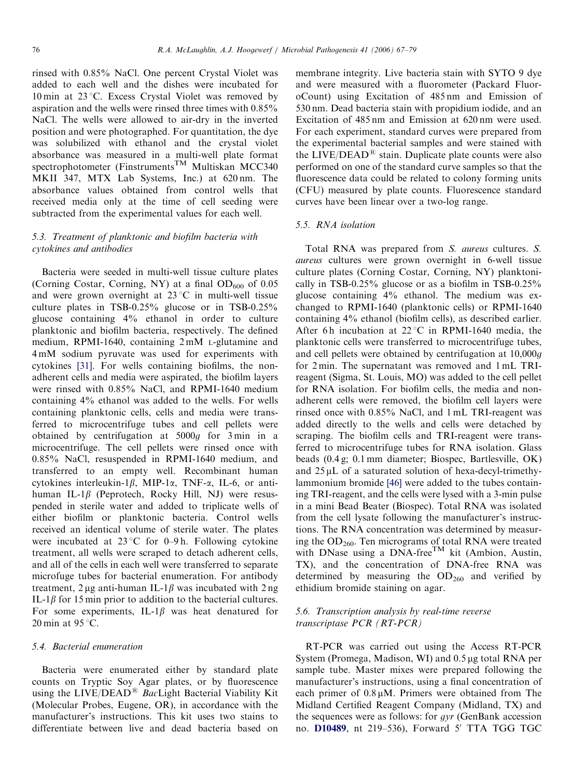rinsed with 0.85% NaCl. One percent Crystal Violet was added to each well and the dishes were incubated for 10 min at  $23^{\circ}$ C. Excess Crystal Violet was removed by aspiration and the wells were rinsed three times with 0.85% NaCl. The wells were allowed to air-dry in the inverted position and were photographed. For quantitation, the dye was solubilized with ethanol and the crystal violet absorbance was measured in a multi-well plate format spectrophotometer (Finstruments<sup>TM</sup> Multiskan MCC340) MKII 347, MTX Lab Systems, Inc.) at 620 nm. The absorbance values obtained from control wells that received media only at the time of cell seeding were subtracted from the experimental values for each well.

## 5.3. Treatment of planktonic and biofilm bacteria with cytokines and antibodies

Bacteria were seeded in multi-well tissue culture plates (Corning Costar, Corning, NY) at a final  $OD_{600}$  of 0.05 and were grown overnight at  $23^{\circ}$ C in multi-well tissue culture plates in TSB-0.25% glucose or in TSB-0.25% glucose containing 4% ethanol in order to culture planktonic and biofilm bacteria, respectively. The defined medium, RPMI-1640, containing 2 mM L-glutamine and 4 mM sodium pyruvate was used for experiments with cytokines [\[31\]](#page-11-0). For wells containing biofilms, the nonadherent cells and media were aspirated, the biofilm layers were rinsed with 0.85% NaCl, and RPMI-1640 medium containing 4% ethanol was added to the wells. For wells containing planktonic cells, cells and media were transferred to microcentrifuge tubes and cell pellets were obtained by centrifugation at 5000g for 3 min in a microcentrifuge. The cell pellets were rinsed once with 0.85% NaCl, resuspended in RPMI-1640 medium, and transferred to an empty well. Recombinant human cytokines interleukin-1 $\beta$ , MIP-1 $\alpha$ , TNF- $\alpha$ , IL-6, or antihuman IL-1 $\beta$  (Peprotech, Rocky Hill, NJ) were resuspended in sterile water and added to triplicate wells of either biofilm or planktonic bacteria. Control wells received an identical volume of sterile water. The plates were incubated at  $23^{\circ}$ C for 0–9 h. Following cytokine treatment, all wells were scraped to detach adherent cells, and all of the cells in each well were transferred to separate microfuge tubes for bacterial enumeration. For antibody treatment, 2 µg anti-human IL-1 $\beta$  was incubated with 2 ng IL-1 $\beta$  for 15 min prior to addition to the bacterial cultures. For some experiments, IL-1 $\beta$  was heat denatured for 20 min at  $95^{\circ}$ C.

#### 5.4. Bacterial enumeration

Bacteria were enumerated either by standard plate counts on Tryptic Soy Agar plates, or by fluorescence using the LIVE/DEAD<sup>®</sup> BacLight Bacterial Viability Kit (Molecular Probes, Eugene, OR), in accordance with the manufacturer's instructions. This kit uses two stains to differentiate between live and dead bacteria based on

membrane integrity. Live bacteria stain with SYTO 9 dye and were measured with a fluorometer (Packard FluoroCount) using Excitation of 485 nm and Emission of 530 nm. Dead bacteria stain with propidium iodide, and an Excitation of 485 nm and Emission at 620 nm were used. For each experiment, standard curves were prepared from the experimental bacterial samples and were stained with the  $LIVE/DEAD^®$  stain. Duplicate plate counts were also performed on one of the standard curve samples so that the fluorescence data could be related to colony forming units (CFU) measured by plate counts. Fluorescence standard curves have been linear over a two-log range.

## 5.5. RNA isolation

Total RNA was prepared from S. aureus cultures. S. aureus cultures were grown overnight in 6-well tissue culture plates (Corning Costar, Corning, NY) planktonically in TSB-0.25% glucose or as a biofilm in TSB-0.25% glucose containing 4% ethanol. The medium was exchanged to RPMI-1640 (planktonic cells) or RPMI-1640 containing 4% ethanol (biofilm cells), as described earlier. After 6h incubation at  $22^{\circ}$ C in RPMI-1640 media, the planktonic cells were transferred to microcentrifuge tubes, and cell pellets were obtained by centrifugation at 10,000g for 2 min. The supernatant was removed and 1 mL TRIreagent (Sigma, St. Louis, MO) was added to the cell pellet for RNA isolation. For biofilm cells, the media and nonadherent cells were removed, the biofilm cell layers were rinsed once with 0.85% NaCl, and 1 mL TRI-reagent was added directly to the wells and cells were detached by scraping. The biofilm cells and TRI-reagent were transferred to microcentrifuge tubes for RNA isolation. Glass beads (0.4 g; 0.1 mm diameter; Biospec, Bartlesville, OK) and  $25 \mu L$  of a saturated solution of hexa-decyl-trimethylammonium bromide [\[46\]](#page-12-0) were added to the tubes containing TRI-reagent, and the cells were lysed with a 3-min pulse in a mini Bead Beater (Biospec). Total RNA was isolated from the cell lysate following the manufacturer's instructions. The RNA concentration was determined by measuring the OD<sub>260</sub>. Ten micrograms of total RNA were treated with DNase using a DNA-free<sup>TM</sup> kit (Ambion, Austin, TX), and the concentration of DNA-free RNA was determined by measuring the  $OD<sub>260</sub>$  and verified by ethidium bromide staining on agar.

## 5.6. Transcription analysis by real-time reverse transcriptase PCR (RT-PCR)

RT-PCR was carried out using the Access RT-PCR System (Promega, Madison, WI) and  $0.5 \mu$ g total RNA per sample tube. Master mixes were prepared following the manufacturer's instructions, using a final concentration of each primer of  $0.8 \mu M$ . Primers were obtained from The Midland Certified Reagent Company (Midland, TX) and the sequences were as follows: for gyr (GenBank accession no. D10489, nt 219-536), Forward 5' TTA TGG TGC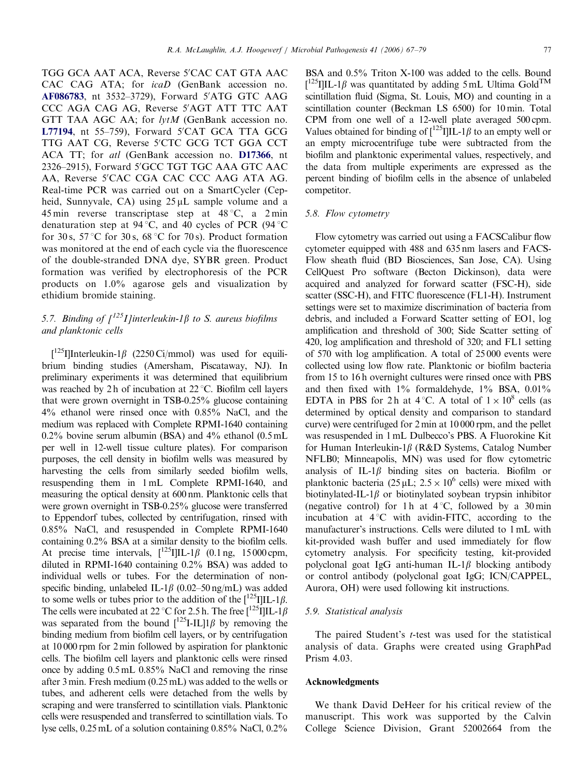TGG GCA AAT ACA, Reverse 5'CAC CAT GTA AAC CAC CAG ATA; for icaD (GenBank accession no. AF086783, nt 3532-3729), Forward 5'ATG GTC AAG CCC AGA CAG AG, Reverse 5'AGT ATT TTC AAT GTT TAA AGC AA; for lytM (GenBank accession no. L77194, nt 55-759), Forward 5'CAT GCA TTA GCG TTG AAT CG, Reverse 5'CTC GCG TCT GGA CCT ACA TT; for atl (GenBank accession no. D17366, nt 2326-2915), Forward 5'GCC TGT TGC AAA GTC AAC AA, Reverse 5'CAC CGA CAC CCC AAG ATA AG. Real-time PCR was carried out on a SmartCycler (Cepheid, Sunnyvale, CA) using  $25 \mu L$  sample volume and a 45 min reverse transcriptase step at  $48^{\circ}$ C, a 2 min denaturation step at 94 °C, and 40 cycles of PCR (94 °C) for 30 s, 57 °C for 30 s, 68 °C for 70 s). Product formation was monitored at the end of each cycle via the fluorescence of the double-stranded DNA dye, SYBR green. Product formation was verified by electrophoresis of the PCR products on 1.0% agarose gels and visualization by ethidium bromide staining.

# 5.7. Binding of  $\int_1^{125} I \cdot \int_1^{125} I \cdot \int_1^{125} I \cdot \int_1^{125} I \cdot \int_1^{125} I \cdot \int_1^{125} I \cdot \int_1^{125} I \cdot \int_1^{125} I \cdot \int_1^{125} I \cdot \int_1^{125} I \cdot \int_1^{125} I \cdot \int_1^{125} I \cdot \int_1^{125} I \cdot \int_1^{125} I \cdot \int_1^{125} I \cdot \int_1^{125} I \cdot \int_1^{125} I \cdot$ and planktonic cells

[ $^{125}$ I]Interleukin-1 $\beta$  (2250 Ci/mmol) was used for equilibrium binding studies (Amersham, Piscataway, NJ). In preliminary experiments it was determined that equilibrium was reached by 2 h of incubation at  $22^{\circ}$ C. Biofilm cell layers that were grown overnight in TSB-0.25% glucose containing 4% ethanol were rinsed once with 0.85% NaCl, and the medium was replaced with Complete RPMI-1640 containing 0.2% bovine serum albumin (BSA) and 4% ethanol (0.5 mL per well in 12-well tissue culture plates). For comparison purposes, the cell density in biofilm wells was measured by harvesting the cells from similarly seeded biofilm wells, resuspending them in 1 mL Complete RPMI-1640, and measuring the optical density at 600 nm. Planktonic cells that were grown overnight in TSB-0.25% glucose were transferred to Eppendorf tubes, collected by centrifugation, rinsed with 0.85% NaCl, and resuspended in Complete RPMI-1640 containing 0.2% BSA at a similar density to the biofilm cells. At precise time intervals,  $\int_{0}^{125} I \cdot \int_{0}^{125} I \cdot (0.1 \, \text{ng}, \, 15000 \, \text{cpm},$ diluted in RPMI-1640 containing 0.2% BSA) was added to individual wells or tubes. For the determination of nonspecific binding, unlabeled IL-1 $\beta$  (0.02–50 ng/mL) was added to some wells or tubes prior to the addition of the  $\left[\frac{125}{11L-1}\right]$ . The cells were incubated at 22 °C for 2.5 h. The free  $\left[\frac{125}{1}\right]$ IL-1 $\beta$ was separated from the bound  $\int_1^{125} I - IL \parallel \beta$  by removing the binding medium from biofilm cell layers, or by centrifugation at 10 000 rpm for 2 min followed by aspiration for planktonic cells. The biofilm cell layers and planktonic cells were rinsed once by adding 0.5 mL 0.85% NaCl and removing the rinse after 3 min. Fresh medium (0.25 mL) was added to the wells or tubes, and adherent cells were detached from the wells by scraping and were transferred to scintillation vials. Planktonic cells were resuspended and transferred to scintillation vials. To lyse cells, 0.25 mL of a solution containing 0.85% NaCl, 0.2% BSA and 0.5% Triton X-100 was added to the cells. Bound  $[$ <sup>125</sup>I]IL-1 $\beta$  was quantitated by adding 5 mL Ultima Gold<sup>TM</sup> scintillation fluid (Sigma, St. Louis, MO) and counting in a scintillation counter (Beckman LS 6500) for 10 min. Total CPM from one well of a 12-well plate averaged 500 cpm. Values obtained for binding of  $\left[\frac{125}{1}\right] IL-1\beta$  to an empty well or an empty microcentrifuge tube were subtracted from the biofilm and planktonic experimental values, respectively, and the data from multiple experiments are expressed as the percent binding of biofilm cells in the absence of unlabeled competitor.

#### 5.8. Flow cytometry

Flow cytometry was carried out using a FACSCalibur flow cytometer equipped with 488 and 635 nm lasers and FACS-Flow sheath fluid (BD Biosciences, San Jose, CA). Using CellQuest Pro software (Becton Dickinson), data were acquired and analyzed for forward scatter (FSC-H), side scatter (SSC-H), and FITC fluorescence (FL1-H). Instrument settings were set to maximize discrimination of bacteria from debris, and included a Forward Scatter setting of EO1, log amplification and threshold of 300; Side Scatter setting of 420, log amplification and threshold of 320; and FL1 setting of 570 with log amplification. A total of 25 000 events were collected using low flow rate. Planktonic or biofilm bacteria from 15 to 16 h overnight cultures were rinsed once with PBS and then fixed with  $1\%$  formaldehyde,  $1\%$  BSA,  $0.01\%$ EDTA in PBS for 2h at 4 °C. A total of  $1 \times 10^8$  cells (as determined by optical density and comparison to standard curve) were centrifuged for 2 min at 10 000 rpm, and the pellet was resuspended in 1 mL Dulbecco's PBS. A Fluorokine Kit for Human Interleukin-1 $\beta$  (R&D Systems, Catalog Number NFLB0; Minneapolis, MN) was used for flow cytometric analysis of IL-1 $\beta$  binding sites on bacteria. Biofilm or planktonic bacteria  $(25 \mu L, 2.5 \times 10^6 \text{ cells})$  were mixed with biotinylated-IL-1 $\beta$  or biotinylated soybean trypsin inhibitor (negative control) for 1 h at  $4^{\circ}$ C, followed by a 30 min incubation at  $4^{\circ}$ C with avidin-FITC, according to the manufacturer's instructions. Cells were diluted to 1 mL with kit-provided wash buffer and used immediately for flow cytometry analysis. For specificity testing, kit-provided polyclonal goat IgG anti-human IL-1 $\beta$  blocking antibody or control antibody (polyclonal goat IgG; ICN/CAPPEL, Aurora, OH) were used following kit instructions.

#### 5.9. Statistical analysis

The paired Student's *t*-test was used for the statistical analysis of data. Graphs were created using GraphPad Prism 4.03.

#### Acknowledgments

We thank David DeHeer for his critical review of the manuscript. This work was supported by the Calvin College Science Division, Grant 52002664 from the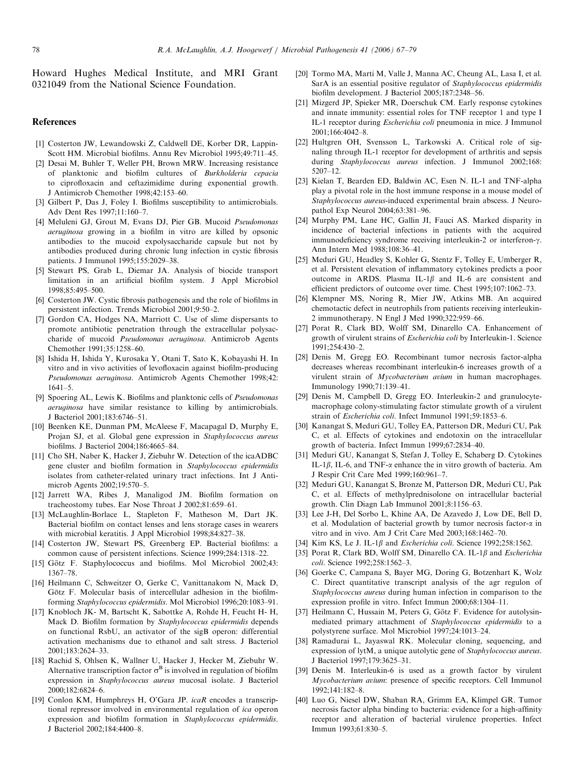<span id="page-11-0"></span>Howard Hughes Medical Institute, and MRI Grant 0321049 from the National Science Foundation.

#### References

- [1] Costerton JW, Lewandowski Z, Caldwell DE, Korber DR, Lappin-Scott HM. Microbial biofilms. Annu Rev Microbiol 1995;49:711–45.
- [2] Desai M, Buhler T, Weller PH, Brown MRW. Increasing resistance of planktonic and biofilm cultures of Burkholderia cepacia to ciprofloxacin and ceftazimidime during exponential growth. J Antimicrob Chemother 1998;42:153–60.
- [3] Gilbert P, Das J, Foley I. Biofilms susceptibility to antimicrobials. Adv Dent Res 1997;11:160–7.
- [4] Meluleni GJ, Grout M, Evans DJ, Pier GB. Mucoid Pseudomonas aeruginosa growing in a biofilm in vitro are killed by opsonic antibodies to the mucoid expolysaccharide capsule but not by antibodies produced during chronic lung infection in cystic fibrosis patients. J Immunol 1995;155:2029–38.
- [5] Stewart PS, Grab L, Diemar JA. Analysis of biocide transport limitation in an artificial biofilm system. J Appl Microbiol 1998;85:495–500.
- [6] Costerton JW. Cystic fibrosis pathogenesis and the role of biofilms in persistent infection. Trends Microbiol 2001;9:50–2.
- [7] Gordon CA, Hodges NA, Marriott C. Use of slime dispersants to promote antibiotic penetration through the extracellular polysaccharide of mucoid Pseudomonas aeruginosa. Antimicrob Agents Chemother 1991;35:1258–60.
- [8] Ishida H, Ishida Y, Kurosaka Y, Otani T, Sato K, Kobayashi H. In vitro and in vivo activities of levofloxacin against biofilm-producing Pseudomonas aeruginosa. Antimicrob Agents Chemother 1998;42: 1641–5.
- [9] Spoering AL, Lewis K. Biofilms and planktonic cells of *Pseudomonas* aeruginosa have similar resistance to killing by antimicrobials. J Bacteriol 2001;183:6746–51.
- [10] Beenken KE, Dunman PM, McAleese F, Macapagal D, Murphy E, Projan SJ, et al. Global gene expression in Staphylococcus aureus biofilms. J Bacteriol 2004;186:4665–84.
- [11] Cho SH, Naber K, Hacker J, Ziebuhr W. Detection of the icaADBC gene cluster and biofilm formation in Staphylococcus epidermidis isolates from catheter-related urinary tract infections. Int J Antimicrob Agents 2002;19:570–5.
- [12] Jarrett WA, Ribes J, Manaligod JM. Biofilm formation on tracheostomy tubes. Ear Nose Throat J 2002;81:659–61.
- [13] McLaughlin-Borlace L, Stapleton F, Matheson M, Dart JK. Bacterial biofilm on contact lenses and lens storage cases in wearers with microbial keratitis. J Appl Microbiol 1998;84:827–38.
- [14] Costerton JW, Stewart PS, Greenberg EP. Bacterial biofilms: a common cause of persistent infections. Science 1999;284:1318–22.
- [15] Götz F. Staphylococcus and biofilms. Mol Microbiol 2002;43: 1367–78.
- [16] Heilmann C, Schweitzer O, Gerke C, Vanittanakom N, Mack D, Götz F. Molecular basis of intercellular adhesion in the biofilmforming Staphylococcus epidermidis. Mol Microbiol 1996;20:1083–91.
- [17] Knobloch JK- M, Bartscht K, Sabottke A, Rohde H, Feucht H- H, Mack D. Biofilm formation by Staphylococcus epidermidis depends on functional RsbU, an activator of the sigB operon: differential activation mechanisms due to ethanol and salt stress. J Bacteriol 2001;183:2624–33.
- [18] Rachid S, Ohlsen K, Wallner U, Hacker J, Hecker M, Ziebuhr W. Alternative transcription factor  $\sigma^B$  is involved in regulation of biofilm expression in Staphylococcus aureus mucosal isolate. J Bacteriol 2000;182:6824–6.
- [19] Conlon KM, Humphreys H, O'Gara JP. icaR encodes a transcriptional repressor involved in environmental regulation of ica operon expression and biofilm formation in Staphylococcus epidermidis. J Bacteriol 2002;184:4400–8.
- [20] Tormo MA, Marti M, Valle J, Manna AC, Cheung AL, Lasa I, et al. SarA is an essential positive regulator of Staphylococcus epidermidis biofilm development. J Bacteriol 2005;187:2348–56.
- [21] Mizgerd JP, Spieker MR, Doerschuk CM. Early response cytokines and innate immunity: essential roles for TNF receptor 1 and type I IL-1 receptor during Escherichia coli pneumonia in mice. J Immunol 2001;166:4042–8.
- [22] Hultgren OH, Svensson L, Tarkowski A. Critical role of signaling through IL-1 receptor for development of arthritis and sepsis during Staphylococcus aureus infection. J Immunol 2002;168: 5207–12.
- [23] Kielan T, Bearden ED, Baldwin AC, Esen N. IL-1 and TNF-alpha play a pivotal role in the host immune response in a mouse model of Staphylococcus aureus-induced experimental brain abscess. J Neuropathol Exp Neurol 2004;63:381–96.
- [24] Murphy PM, Lane HC, Gallin JI, Fauci AS. Marked disparity in incidence of bacterial infections in patients with the acquired immunodeficiency syndrome receiving interleukin-2 or interferon- $\gamma$ . Ann Intern Med 1988;108:36–41.
- [25] Meduri GU, Headley S, Kohler G, Stentz F, Tolley E, Umberger R, et al. Persistent elevation of inflammatory cytokines predicts a poor outcome in ARDS. Plasma IL-1 $\beta$  and IL-6 are consistent and efficient predictors of outcome over time. Chest 1995;107:1062–73.
- [26] Klempner MS, Noring R, Mier JW, Atkins MB. An acquired chemotactic defect in neutrophils from patients receiving interleukin-2 immunotherapy. N Engl J Med 1990;322:959–66.
- [27] Porat R, Clark BD, Wolff SM, Dinarello CA. Enhancement of growth of virulent strains of Escherichia coli by Interleukin-1. Science 1991;254:430–2.
- [28] Denis M, Gregg EO. Recombinant tumor necrosis factor-alpha decreases whereas recombinant interleukin-6 increases growth of a virulent strain of Mycobacterium avium in human macrophages. Immunology 1990;71:139–41.
- [29] Denis M, Campbell D, Gregg EO. Interleukin-2 and granulocytemacrophage colony-stimulating factor stimulate growth of a virulent strain of Escherichia coli. Infect Immunol 1991;59:1853–6.
- [30] Kanangat S, Meduri GU, Tolley EA, Patterson DR, Meduri CU, Pak C, et al. Effects of cytokines and endotoxin on the intracellular growth of bacteria. Infect Immun 1999;67:2834–40.
- [31] Meduri GU, Kanangat S, Stefan J, Tolley E, Schaberg D. Cytokines IL-1 $\beta$ , IL-6, and TNF- $\alpha$  enhance the in vitro growth of bacteria. Am J Respir Crit Care Med 1999;160:961–7.
- [32] Meduri GU, Kanangat S, Bronze M, Patterson DR, Meduri CU, Pak C, et al. Effects of methylprednisolone on intracellular bacterial growth. Clin Diagn Lab Immunol 2001;8:1156–63.
- [33] Lee J-H, Del Sorbo L, Khine AA, De Azavedo J, Low DE, Bell D, et al. Modulation of bacterial growth by tumor necrosis factor-a in vitro and in vivo. Am J Crit Care Med 2003;168:1462–70.
- [34] Kim KS, Le J. IL-1 $\beta$  and *Escherichia coli*. Science 1992;258:1562.
- [35] Porat R, Clark BD, Wolff SM, Dinarello CA. IL-1 $\beta$  and Escherichia coli. Science 1992;258:1562–3.
- [36] Goerke C, Campana S, Bayer MG, Doring G, Botzenhart K, Wolz C. Direct quantitative transcript analysis of the agr regulon of Staphylococcus aureus during human infection in comparison to the expression profile in vitro. Infect Immun 2000;68:1304–11.
- [37] Heilmann C, Hussain M, Peters G, Götz F. Evidence for autolysinmediated primary attachment of Staphylococcus epidermidis to a polystyrene surface. Mol Microbiol 1997;24:1013–24.
- [38] Ramadurai L, Jayaswal RK. Molecular cloning, sequencing, and expression of lytM, a unique autolytic gene of Staphylococcus aureus. J Bacteriol 1997;179:3625–31.
- [39] Denis M. Interleukin-6 is used as a growth factor by virulent Mycobacterium avium: presence of specific receptors. Cell Immunol 1992;141:182–8.
- [40] Luo G, Niesel DW, Shaban RA, Grimm EA, Klimpel GR. Tumor necrosis factor alpha binding to bacteria: evidence for a high-affinity receptor and alteration of bacterial virulence properties. Infect Immun 1993;61:830–5.